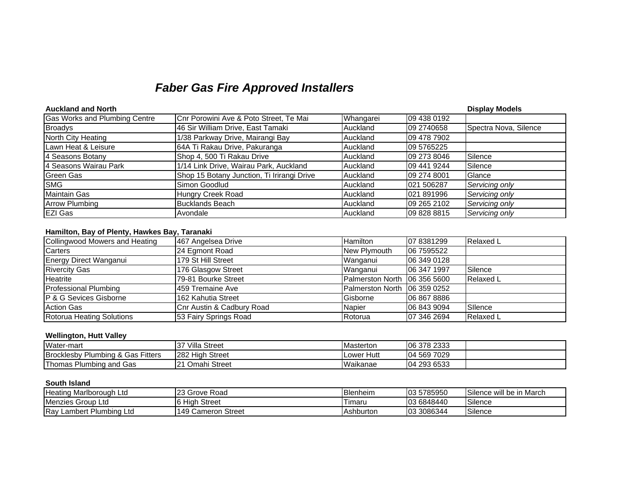## *Faber Gas Fire Approved Installers*

| <b>Auckland and North</b>     |                                            |           |             | <b>Display Models</b> |
|-------------------------------|--------------------------------------------|-----------|-------------|-----------------------|
| Gas Works and Plumbing Centre | Cnr Porowini Ave & Poto Street, Te Mai     | Whangarei | 09 438 0192 |                       |
| <b>Broadys</b>                | 46 Sir William Drive, East Tamaki          | Auckland  | 09 2740658  | Spectra Nova, Silence |
| North City Heating            | 1/38 Parkway Drive, Mairangi Bay           | Auckland  | 09 478 7902 |                       |
| Lawn Heat & Leisure           | 64A Ti Rakau Drive, Pakuranga              | Auckland  | 09 5765225  |                       |
| 4 Seasons Botany              | Shop 4, 500 Ti Rakau Drive                 | Auckland  | 09 273 8046 | Silence               |
| 4 Seasons Wairau Park         | 1/14 Link Drive, Wairau Park, Auckland     | Auckland  | 09 441 9244 | Silence               |
| Green Gas                     | Shop 15 Botany Junction, Ti Irirangi Drive | Auckland  | 09 274 8001 | Glance                |
| <b>SMG</b>                    | Simon Goodlud                              | Auckland  | 021 506287  | Servicing only        |
| <b>Maintain Gas</b>           | Hungry Creek Road                          | Auckland  | 021 891996  | Servicing only        |
| <b>Arrow Plumbing</b>         | Bucklands Beach                            | Auckland  | 09 265 2102 | Servicing only        |
| <b>EZI Gas</b>                | Avondale                                   | Auckland  | 09 828 8815 | Servicing only        |

## **Hamilton, Bay of Plenty, Hawkes Bay, Taranaki**

| Collingwood Mowers and Heating    | 467 Angelsea Drive        | Hamilton                      | 07 8381299  | Relaxed L        |
|-----------------------------------|---------------------------|-------------------------------|-------------|------------------|
| Carters                           | 24 Egmont Road            | New Plymouth                  | 06 7595522  |                  |
| Energy Direct Wanganui            | 179 St Hill Street        | Wanganui                      | 06 349 0128 |                  |
| <b>Rivercity Gas</b>              | 176 Glasgow Street        | Wanganui                      | 06 347 1997 | Silence          |
| <b>Heatrite</b>                   | 79-81 Bourke Street       | Palmerston North 106 356 5600 |             | <b>Relaxed L</b> |
| <b>Professional Plumbing</b>      | 459 Tremaine Ave          | Palmerston North 106 359 0252 |             |                  |
| <b>P &amp; G Sevices Gisborne</b> | 162 Kahutia Street        | Gisborne                      | 06 867 8886 |                  |
| <b>Action Gas</b>                 | Cnr Austin & Cadbury Road | <b>Napier</b>                 | 06 843 9094 | Silence          |
| <b>Rotorua Heating Solutions</b>  | 53 Fairy Springs Road     | Rotorua                       | 07 346 2694 | <b>Relaxed L</b> |

## **Wellington, Hutt Valley**

| Water-mart                                             | ∵Villa 、<br>$\sim$<br>Street | <b>IMasterton</b> | 06 378 2333        |  |
|--------------------------------------------------------|------------------------------|-------------------|--------------------|--|
| <b>Brocklesby Plumbing &amp;</b><br>Fitters<br>. Gas I | 282 High<br>⊦ Street         | Hutt<br>Lower     | 7029<br>569<br>104 |  |
| Plumbing and Gas<br>™homas                             | <b>21 Omahi Street</b>       | Waikanae          | 293 6533<br>104    |  |

## **South Island**

| <b>Heating</b><br>⊢Ltd<br>⊧Marlborouɑh | <b>23 Grove Road</b>    | Blenheim  | 03 5785950 | $\sim$<br>l be in March<br>Silence will |
|----------------------------------------|-------------------------|-----------|------------|-----------------------------------------|
| Menzies Group Ltd                      | Street<br>16 Hiah       | Timaru    | 03 6848440 | Silence                                 |
| <b>IRav</b><br>Lambert Plumbing Ltd    | 149 Cameron<br>. Street | Ashburton | 03 3086344 | Silence                                 |